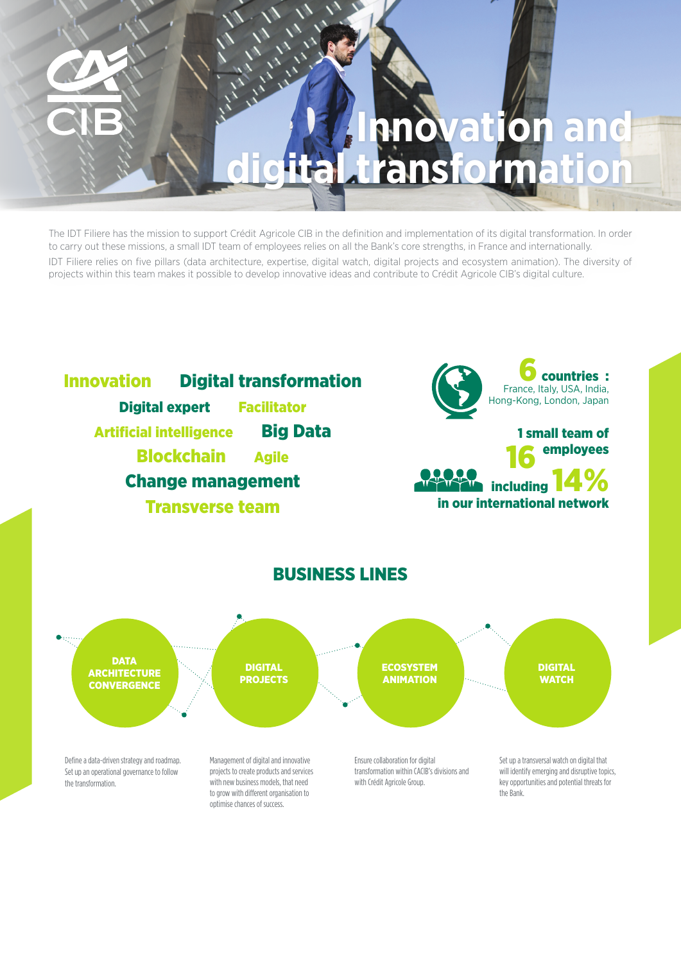# **Innovation and**  ital transforma

The IDT Filiere has the mission to support Crédit Agricole CIB in the definition and implementation of its digital transformation. In order to carry out these missions, a small IDT team of employees relies on all the Bank's core strengths, in France and internationally. IDT Filiere relies on five pillars (data architecture, expertise, digital watch, digital projects and ecosystem animation). The diversity of projects within this team makes it possible to develop innovative ideas and contribute to Crédit Agricole CIB's digital culture.